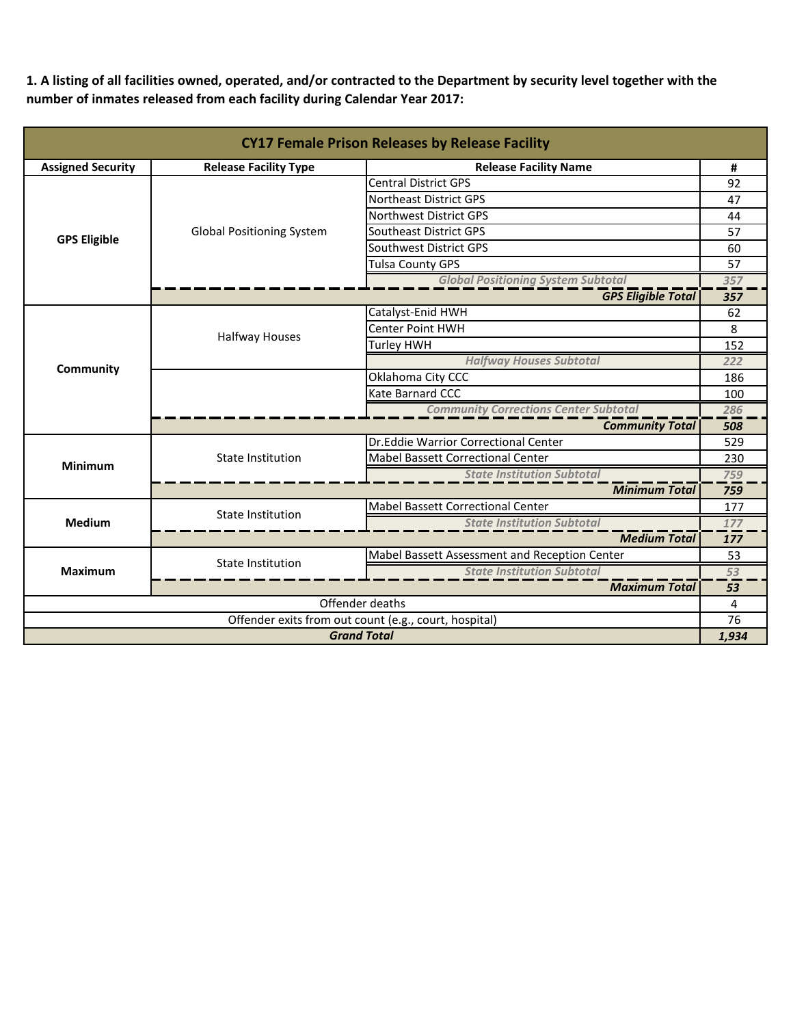**1. A listing of all facilities owned, operated, and/or contracted to the Department by security level together with the number of inmates released from each facility during Calendar Year 2017:**

| <b>CY17 Female Prison Releases by Release Facility</b> |                                  |                                               |       |  |
|--------------------------------------------------------|----------------------------------|-----------------------------------------------|-------|--|
| <b>Assigned Security</b>                               | <b>Release Facility Type</b>     | <b>Release Facility Name</b>                  |       |  |
|                                                        |                                  | <b>Central District GPS</b>                   | 92    |  |
|                                                        |                                  | <b>Northeast District GPS</b>                 | 47    |  |
|                                                        |                                  | Northwest District GPS                        | 44    |  |
| <b>GPS Eligible</b>                                    | <b>Global Positioning System</b> | Southeast District GPS                        | 57    |  |
|                                                        |                                  | Southwest District GPS                        | 60    |  |
|                                                        |                                  | <b>Tulsa County GPS</b>                       | 57    |  |
|                                                        |                                  | <b>Global Positioning System Subtotal</b>     | 357   |  |
|                                                        |                                  | <b>GPS Eligible Total</b>                     | 357   |  |
|                                                        |                                  | Catalyst-Enid HWH                             | 62    |  |
|                                                        | <b>Halfway Houses</b>            | Center Point HWH                              | 8     |  |
|                                                        |                                  | Turley HWH                                    | 152   |  |
| Community                                              |                                  | <b>Halfway Houses Subtotal</b>                | 222   |  |
|                                                        |                                  | Oklahoma City CCC                             | 186   |  |
|                                                        |                                  | Kate Barnard CCC                              | 100   |  |
|                                                        |                                  | <b>Community Corrections Center Subtotal</b>  | 286   |  |
|                                                        |                                  | <b>Community Total</b>                        | 508   |  |
|                                                        |                                  | Dr. Eddie Warrior Correctional Center         | 529   |  |
| <b>Minimum</b>                                         | <b>State Institution</b>         | <b>Mabel Bassett Correctional Center</b>      | 230   |  |
|                                                        |                                  | <b>State Institution Subtotal</b>             | 759   |  |
|                                                        |                                  | <b>Minimum Total</b>                          | 759   |  |
|                                                        | <b>State Institution</b>         | Mabel Bassett Correctional Center             | 177   |  |
| Medium                                                 |                                  | <b>State Institution Subtotal</b>             | 177   |  |
|                                                        |                                  | <b>Medium Total</b>                           | 177   |  |
| <b>Maximum</b>                                         | <b>State Institution</b>         | Mabel Bassett Assessment and Reception Center | 53    |  |
|                                                        |                                  | <b>State Institution Subtotal</b>             | 53    |  |
|                                                        |                                  | <b>Maximum Total</b>                          | 53    |  |
| Offender deaths                                        |                                  |                                               | 4     |  |
| Offender exits from out count (e.g., court, hospital)  |                                  |                                               | 76    |  |
| <b>Grand Total</b>                                     |                                  |                                               | 1,934 |  |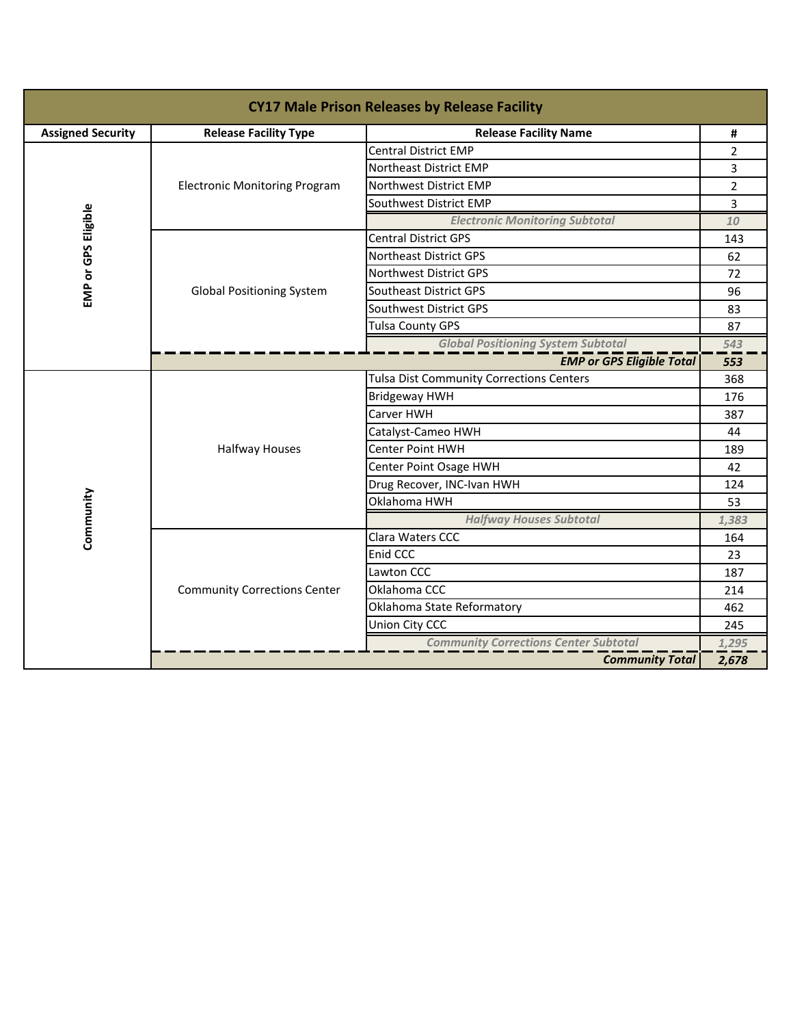| <b>CY17 Male Prison Releases by Release Facility</b> |                                      |                                                 |                |  |
|------------------------------------------------------|--------------------------------------|-------------------------------------------------|----------------|--|
| <b>Assigned Security</b>                             | <b>Release Facility Type</b>         | <b>Release Facility Name</b>                    | #              |  |
|                                                      |                                      | <b>Central District EMP</b>                     | $\overline{2}$ |  |
|                                                      |                                      | Northeast District EMP                          | 3              |  |
|                                                      | <b>Electronic Monitoring Program</b> | Northwest District EMP                          | $\overline{2}$ |  |
|                                                      |                                      | Southwest District EMP                          | 3              |  |
| EMP or GPS Eligible                                  |                                      | <b>Electronic Monitoring Subtotal</b>           | 10             |  |
|                                                      |                                      | <b>Central District GPS</b>                     | 143            |  |
|                                                      |                                      | Northeast District GPS                          | 62             |  |
|                                                      |                                      | Northwest District GPS                          | 72             |  |
|                                                      | <b>Global Positioning System</b>     | Southeast District GPS                          | 96             |  |
|                                                      |                                      | Southwest District GPS                          | 83             |  |
|                                                      |                                      | <b>Tulsa County GPS</b>                         | 87             |  |
|                                                      |                                      | <b>Global Positioning System Subtotal</b>       | 543            |  |
|                                                      | <b>EMP or GPS Eligible Total</b>     |                                                 |                |  |
|                                                      | <b>Halfway Houses</b>                | <b>Tulsa Dist Community Corrections Centers</b> | 368            |  |
|                                                      |                                      | <b>Bridgeway HWH</b>                            | 176            |  |
|                                                      |                                      | Carver HWH                                      | 387            |  |
|                                                      |                                      | Catalyst-Cameo HWH                              | 44             |  |
|                                                      |                                      | <b>Center Point HWH</b>                         | 189            |  |
|                                                      |                                      | Center Point Osage HWH                          | 42             |  |
|                                                      |                                      | Drug Recover, INC-Ivan HWH                      | 124            |  |
| Community                                            |                                      | Oklahoma HWH                                    | 53             |  |
|                                                      |                                      | <b>Halfway Houses Subtotal</b>                  | 1,383          |  |
|                                                      |                                      | Clara Waters CCC                                | 164            |  |
|                                                      |                                      | Enid CCC                                        | 23             |  |
|                                                      |                                      | Lawton CCC                                      | 187            |  |
|                                                      | <b>Community Corrections Center</b>  | Oklahoma CCC                                    | 214            |  |
|                                                      |                                      | Oklahoma State Reformatory                      | 462            |  |
|                                                      |                                      | Union City CCC                                  | 245            |  |
|                                                      |                                      | <b>Community Corrections Center Subtotal</b>    | 1,295          |  |
|                                                      |                                      | <b>Community Total</b>                          | 2,678          |  |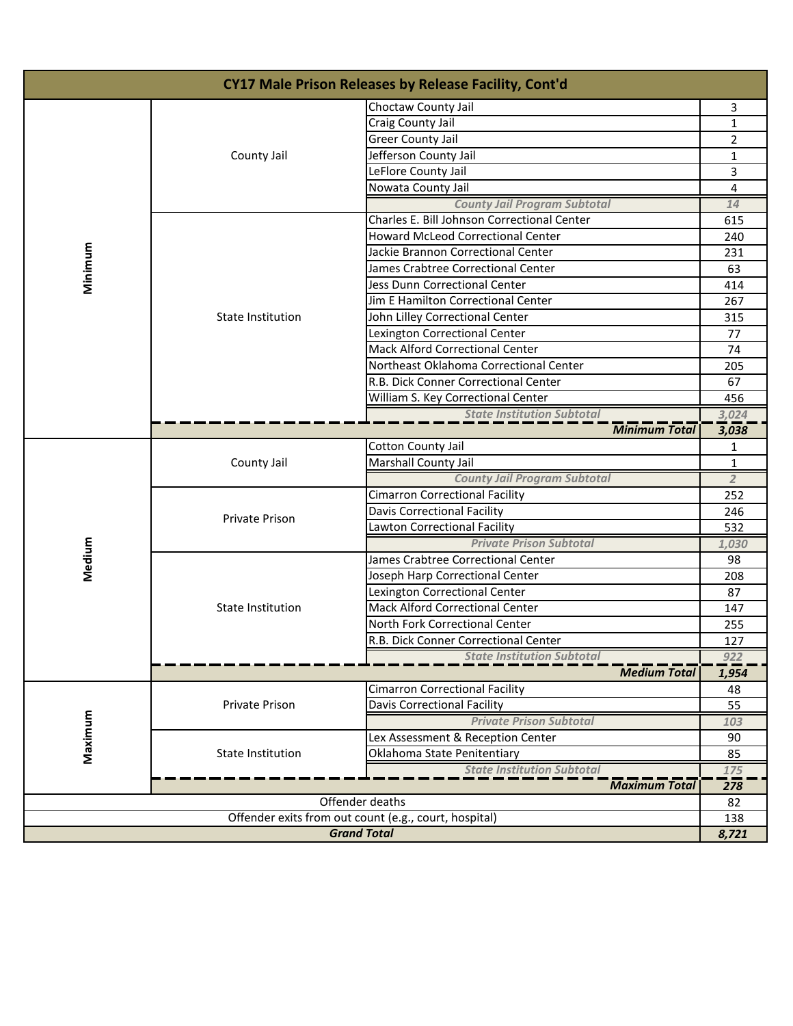| CY17 Male Prison Releases by Release Facility, Cont'd |                          |                                             |                |
|-------------------------------------------------------|--------------------------|---------------------------------------------|----------------|
|                                                       | Choctaw County Jail      |                                             | 3              |
|                                                       |                          | Craig County Jail                           | 1              |
|                                                       |                          | <b>Greer County Jail</b>                    | $\overline{2}$ |
|                                                       | County Jail              | Jefferson County Jail                       | 1              |
|                                                       |                          | LeFlore County Jail                         | 3              |
|                                                       |                          | Nowata County Jail                          | 4              |
|                                                       |                          | <b>County Jail Program Subtotal</b>         | 14             |
|                                                       |                          | Charles E. Bill Johnson Correctional Center | 615            |
|                                                       |                          | <b>Howard McLeod Correctional Center</b>    | 240            |
| Minimum                                               |                          | Jackie Brannon Correctional Center          | 231            |
|                                                       |                          | James Crabtree Correctional Center          | 63             |
|                                                       |                          | Jess Dunn Correctional Center               | 414            |
|                                                       |                          | Jim E Hamilton Correctional Center          | 267            |
|                                                       | State Institution        | John Lilley Correctional Center             | 315            |
|                                                       |                          | Lexington Correctional Center               | 77             |
|                                                       |                          | <b>Mack Alford Correctional Center</b>      | 74             |
|                                                       |                          | Northeast Oklahoma Correctional Center      | 205            |
|                                                       |                          | R.B. Dick Conner Correctional Center        | 67             |
|                                                       |                          | William S. Key Correctional Center          | 456            |
|                                                       |                          | <b>State Institution Subtotal</b>           | 3,024          |
|                                                       |                          | <b>Minimum Total</b>                        | 3,038          |
|                                                       | County Jail              | Cotton County Jail                          | 1              |
|                                                       |                          | Marshall County Jail                        | $\mathbf{1}$   |
|                                                       |                          | <b>County Jail Program Subtotal</b>         | $\overline{2}$ |
|                                                       | Private Prison           | <b>Cimarron Correctional Facility</b>       | 252            |
|                                                       |                          | Davis Correctional Facility                 | 246            |
|                                                       |                          | Lawton Correctional Facility                | 532            |
|                                                       |                          | <b>Private Prison Subtotal</b>              | 1,030          |
| Medium                                                | <b>State Institution</b> | James Crabtree Correctional Center          | 98             |
|                                                       |                          | Joseph Harp Correctional Center             | 208            |
|                                                       |                          | Lexington Correctional Center               | 87             |
|                                                       |                          | <b>Mack Alford Correctional Center</b>      | 147            |
|                                                       |                          | North Fork Correctional Center              | 255            |
|                                                       |                          | R.B. Dick Conner Correctional Center        | 127            |
|                                                       |                          | <b>State Institution Subtotal</b>           | 922            |
|                                                       |                          | <b>Medium Total</b>                         | 1,954          |
|                                                       |                          | <b>Cimarron Correctional Facility</b>       | 48             |
| Maximum                                               | Private Prison           | Davis Correctional Facility                 | 55             |
|                                                       |                          | <b>Private Prison Subtotal</b>              | 103            |
|                                                       |                          | Lex Assessment & Reception Center           | 90             |
|                                                       | State Institution        | Oklahoma State Penitentiary                 | 85             |
|                                                       |                          | <b>State Institution Subtotal</b>           | 175            |
|                                                       | <b>Maximum Total</b>     |                                             | 278            |
| Offender deaths                                       |                          |                                             | 82             |
| Offender exits from out count (e.g., court, hospital) |                          |                                             | 138            |
| <b>Grand Total</b>                                    |                          |                                             | 8,721          |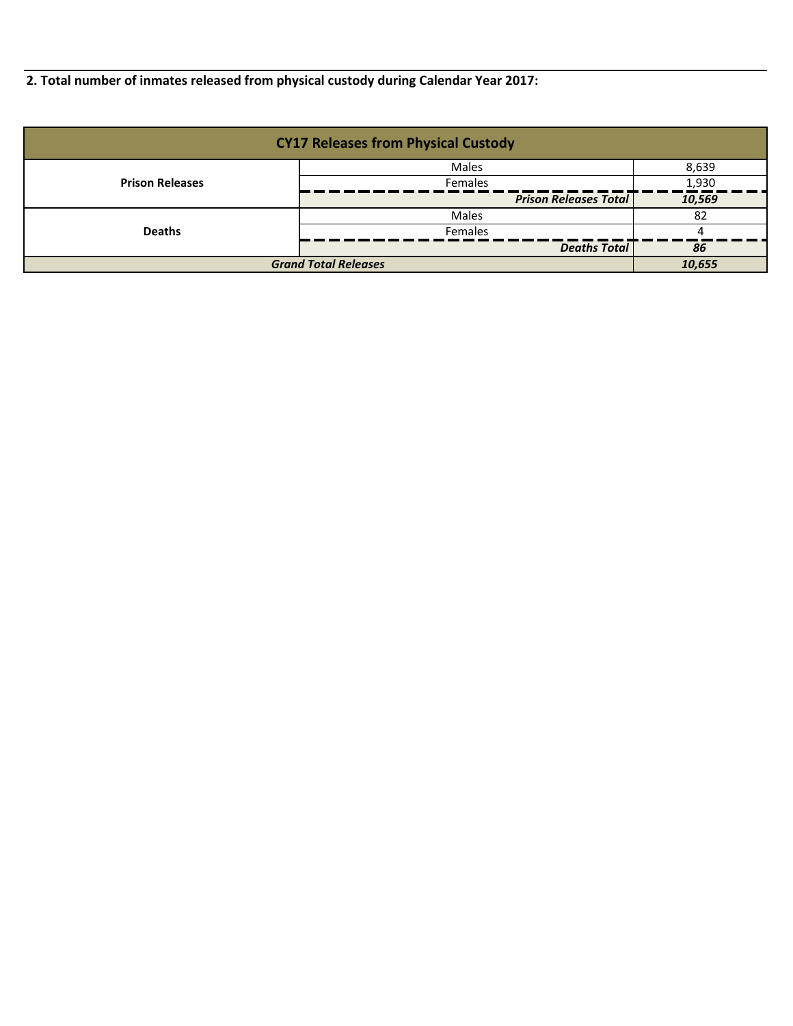**2. Total number of inmates released from physical custody during Calendar Year 2017:**

| <b>CY17 Releases from Physical Custody</b> |                              |        |  |
|--------------------------------------------|------------------------------|--------|--|
|                                            | Males                        | 8,639  |  |
| <b>Prison Releases</b>                     | Females                      | 1,930  |  |
|                                            | <b>Prison Releases Total</b> | 10,569 |  |
|                                            | Males                        | -82    |  |
| <b>Deaths</b>                              | <b>Females</b>               |        |  |
|                                            | <b>Deaths Total</b>          | 86     |  |
| <b>Grand Total Releases</b>                |                              | 10.655 |  |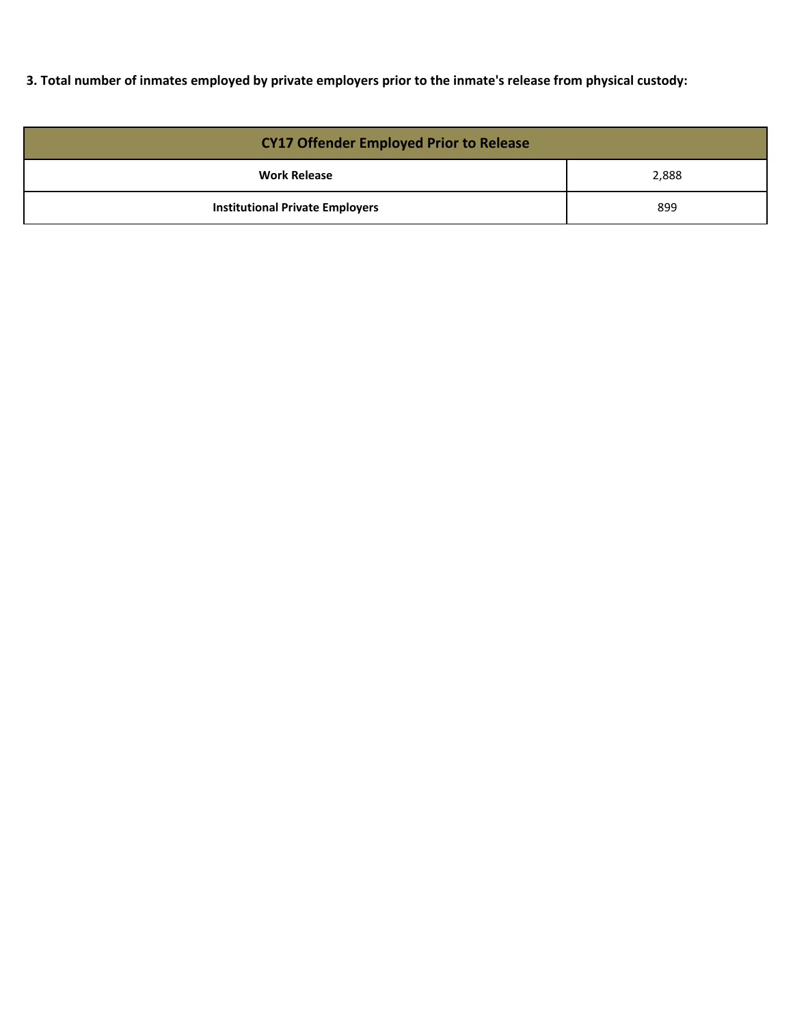**3. Total number of inmates employed by private employers prior to the inmate's release from physical custody:**

| <b>CY17 Offender Employed Prior to Release</b> |       |  |
|------------------------------------------------|-------|--|
| <b>Work Release</b>                            | 2,888 |  |
| <b>Institutional Private Employers</b>         | 899   |  |